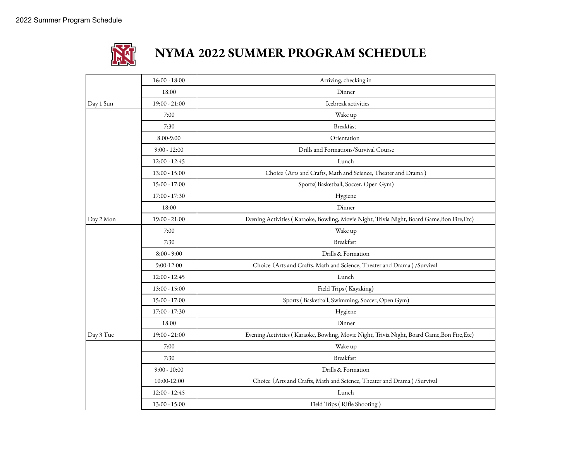

## **NYMA 2022 SUMMER PROGRAM SCHEDULE**

|           | $16:00 - 18:00$ | Arriving, checking in                                                                       |
|-----------|-----------------|---------------------------------------------------------------------------------------------|
|           | 18:00           | Dinner                                                                                      |
| Day 1 Sun | $19:00 - 21:00$ | Icebreak activities                                                                         |
|           | 7:00            | Wake up                                                                                     |
|           | 7:30            | <b>Breakfast</b>                                                                            |
|           | 8:00-9:00       | Orientation                                                                                 |
|           | $9:00 - 12:00$  | Drills and Formations/Survival Course                                                       |
|           | $12:00 - 12:45$ | Lunch                                                                                       |
|           | $13:00 - 15:00$ | Choice (Arts and Crafts, Math and Science, Theater and Drama)                               |
|           | 15:00 - 17:00   | Sports(Basketball, Soccer, Open Gym)                                                        |
|           | 17:00 - 17:30   | Hygiene                                                                                     |
|           | 18:00           | Dinner                                                                                      |
| Day 2 Mon | $19:00 - 21:00$ | Evening Activities (Karaoke, Bowling, Movie Night, Trivia Night, Board Game, Bon Fire, Etc) |
|           | 7:00            | Wake up                                                                                     |
|           | 7:30            | <b>Breakfast</b>                                                                            |
|           | $8:00 - 9:00$   | Drills & Formation                                                                          |
|           | $9:00-12:00$    | Choice (Arts and Crafts, Math and Science, Theater and Drama) / Survival                    |
|           | $12:00 - 12:45$ | Lunch                                                                                       |
|           | $13:00 - 15:00$ | Field Trips (Kayaking)                                                                      |
|           | $15:00 - 17:00$ | Sports (Basketball, Swimming, Soccer, Open Gym)                                             |
|           | $17:00 - 17:30$ | Hygiene                                                                                     |
|           | 18:00           | Dinner                                                                                      |
| Day 3 Tue | $19:00 - 21:00$ | Evening Activities (Karaoke, Bowling, Movie Night, Trivia Night, Board Game, Bon Fire, Etc) |
|           | 7:00            | Wake up                                                                                     |
|           | 7:30            | Breakfast                                                                                   |
|           | $9:00 - 10:00$  | Drills & Formation                                                                          |
|           | 10:00-12:00     | Choice (Arts and Crafts, Math and Science, Theater and Drama) /Survival                     |
|           | $12:00 - 12:45$ | Lunch                                                                                       |
|           | $13:00 - 15:00$ | Field Trips (Rifle Shooting)                                                                |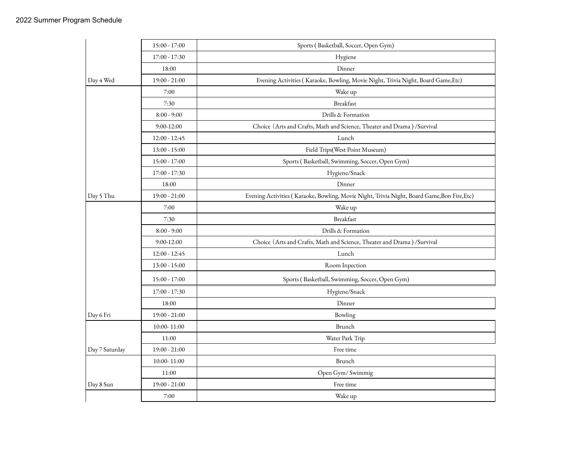|                | $15:00 - 17:00$ | Sports (Basketball, Soccer, Open Gym)                                                       |
|----------------|-----------------|---------------------------------------------------------------------------------------------|
|                | $17:00 - 17:30$ | Hygiene                                                                                     |
|                | 18:00           | Dinner                                                                                      |
| Day 4 Wed      | $19:00 - 21:00$ | Evening Activities (Karaoke, Bowling, Movie Night, Trivia Night, Board Game, Etc)           |
|                | 7:00            | Wake up                                                                                     |
|                | 7:30            | Breakfast                                                                                   |
|                | $8:00 - 9:00$   | Drills & Formation                                                                          |
|                | $9:00 - 12:00$  | Choice (Arts and Crafts, Math and Science, Theater and Drama) / Survival                    |
|                | $12:00 - 12:45$ | Lunch                                                                                       |
|                | $13:00 - 15:00$ | Field Trips(West Point Museum)                                                              |
|                | $15:00 - 17:00$ | Sports (Basketball, Swimming, Soccer, Open Gym)                                             |
|                | $17:00 - 17:30$ | Hygiene/Snack                                                                               |
|                | 18:00           | Dinner                                                                                      |
| Day 5 Thu      | $19:00 - 21:00$ | Evening Activities (Karaoke, Bowling, Movie Night, Trivia Night, Board Game, Bon Fire, Etc) |
|                | 7:00            | Wake up                                                                                     |
|                | 7:30            | Breakfast                                                                                   |
|                | $8:00 - 9:00$   | Drills & Formation                                                                          |
|                | $9:00-12:00$    | Choice (Arts and Crafts, Math and Science, Theater and Drama) / Survival                    |
|                | $12:00 - 12:45$ | Lunch                                                                                       |
|                | $13:00 - 15:00$ | Room Inpection                                                                              |
|                | 15:00 - 17:00   | Sports (Basketball, Swimming, Soccer, Open Gym)                                             |
|                | 17:00 - 17:30   | Hygiene/Snack                                                                               |
|                | 18:00           | Dinner                                                                                      |
| Day 6 Fri      | $19:00 - 21:00$ | Bowling                                                                                     |
|                | 10:00-11:00     | Brunch                                                                                      |
|                | 11:00           | Water Park Trip                                                                             |
| Day 7 Saturday | $19:00 - 21:00$ | Free time                                                                                   |
|                | 10:00-11:00     | Brunch                                                                                      |
|                | 11:00           | Open Gym/ Swimmig                                                                           |
| Day 8 Sun      | $19:00 - 21:00$ | Free time                                                                                   |
|                | 7:00            | Wake up                                                                                     |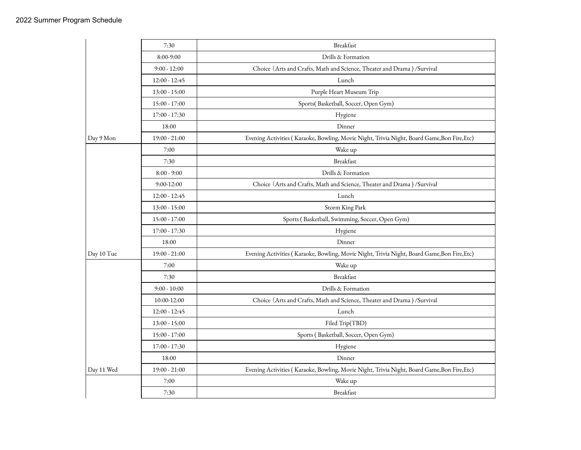|            | 7:30            | Breakfast                                                                                   |
|------------|-----------------|---------------------------------------------------------------------------------------------|
|            | 8:00-9:00       | Drills & Formation                                                                          |
|            | $9:00 - 12:00$  | Choice (Arts and Crafts, Math and Science, Theater and Drama) /Survival                     |
|            | $12:00 - 12:45$ | Lunch                                                                                       |
|            | $13:00 - 15:00$ | Purple Heart Museum Trip                                                                    |
|            | 15:00 - 17:00   | Sports(Basketball, Soccer, Open Gym)                                                        |
|            | $17:00 - 17:30$ | Hygiene                                                                                     |
|            | 18:00           | Dinner                                                                                      |
| Day 9 Mon  | $19:00 - 21:00$ | Evening Activities (Karaoke, Bowling, Movie Night, Trivia Night, Board Game, Bon Fire, Etc) |
|            | 7:00            | Wake up                                                                                     |
|            | 7:30            | <b>Breakfast</b>                                                                            |
|            | $8:00 - 9:00$   | Drills & Formation                                                                          |
|            | $9:00 - 12:00$  | Choice (Arts and Crafts, Math and Science, Theater and Drama) /Survival                     |
|            | $12:00 - 12:45$ | Lunch                                                                                       |
|            | $13:00 - 15:00$ | Storm King Park                                                                             |
|            | $15:00 - 17:00$ | Sports (Basketball, Swimming, Soccer, Open Gym)                                             |
|            | 17:00 - 17:30   | Hygiene                                                                                     |
|            | 18:00           | Dinner                                                                                      |
| Day 10 Tue | $19:00 - 21:00$ | Evening Activities (Karaoke, Bowling, Movie Night, Trivia Night, Board Game, Bon Fire, Etc) |
|            | 7:00            | Wake up                                                                                     |
|            | 7:30            | Breakfast                                                                                   |
|            | $9:00 - 10:00$  | Drills & Formation                                                                          |
|            | 10:00-12:00     | Choice (Arts and Crafts, Math and Science, Theater and Drama) / Survival                    |
|            | $12:00 - 12:45$ | Lunch                                                                                       |
|            | $13:00 - 15:00$ | Filed Trip(TBD)                                                                             |
|            | $15:00 - 17:00$ | Sports (Basketball, Soccer, Open Gym)                                                       |
|            | 17:00 - 17:30   | Hygiene                                                                                     |
|            | 18:00           | Dinner                                                                                      |
| Day 11 Wed | $19:00 - 21:00$ | Evening Activities (Karaoke, Bowling, Movie Night, Trivia Night, Board Game, Bon Fire, Etc) |
|            | 7:00            | Wake up                                                                                     |
|            | 7:30            | Breakfast                                                                                   |